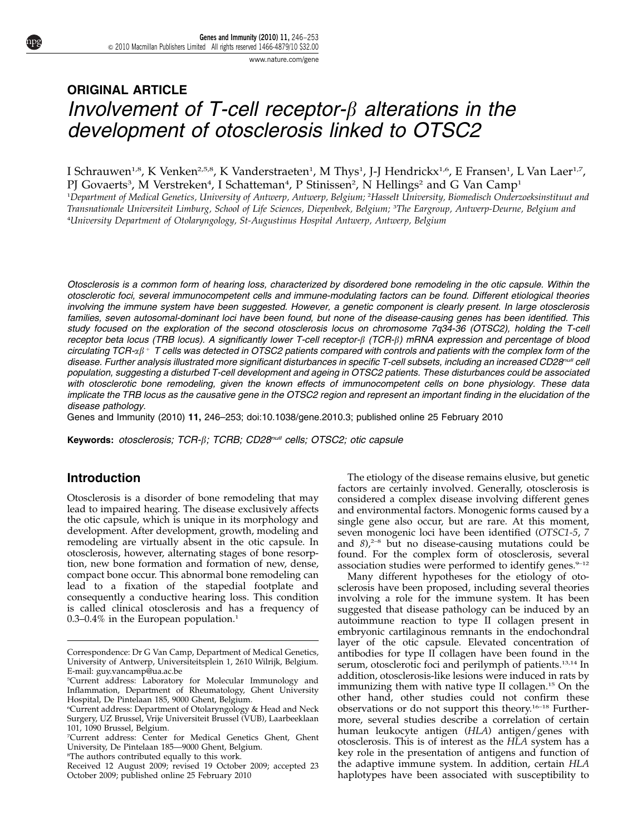[www.nature.com/gene](http://www.nature.com/gene)

# ORIGINAL ARTICLE Involvement of T-cell receptor- $\beta$  alterations in the development of otosclerosis linked to OTSC2

I Schrauwen<sup>1,8</sup>, K Venken<sup>2,5,8</sup>, K Vanderstraeten<sup>1</sup>, M Thys<sup>1</sup>, J-J Hendrickx<sup>1,6</sup>, E Fransen<sup>1</sup>, L Van Laer<sup>1,7</sup>, PJ Govaerts<sup>3</sup>, M Verstreken<sup>4</sup>, I Schatteman<sup>4</sup>, P Stinissen<sup>2</sup>, N Hellings<sup>2</sup> and G Van Camp<sup>1</sup>

1 Department of Medical Genetics, University of Antwerp, Antwerp, Belgium; <sup>2</sup> Hasselt University, Biomedisch Onderzoeksinstituut and Transnationale Universiteit Limburg, School of Life Sciences, Diepenbeek, Belgium; <sup>3</sup> The Eargroup, Antwerp-Deurne, Belgium and 4 University Department of Otolaryngology, St-Augustinus Hospital Antwerp, Antwerp, Belgium

Otosclerosis is a common form of hearing loss, characterized by disordered bone remodeling in the otic capsule. Within the otosclerotic foci, several immunocompetent cells and immune-modulating factors can be found. Different etiological theories involving the immune system have been suggested. However, a genetic component is clearly present. In large otosclerosis families, seven autosomal-dominant loci have been found, but none of the disease-causing genes has been identified. This study focused on the exploration of the second otosclerosis locus on chromosome 7q34-36 (OTSC2), holding the T-cell receptor beta locus (TRB locus). A significantly lower T-cell receptor- $\beta$  (TCR- $\beta$ ) mRNA expression and percentage of blood circulating TCR- $\alpha\beta$ <sup>+</sup> T cells was detected in OTSC2 patients compared with controls and patients with the complex form of the disease. Further analysis illustrated more significant disturbances in specific T-cell subsets, including an increased CD28<sup>null</sup> cell population, suggesting a disturbed T-cell development and ageing in OTSC2 patients. These disturbances could be associated with otosclerotic bone remodeling, given the known effects of immunocompetent cells on bone physiology. These data implicate the TRB locus as the causative gene in the OTSC2 region and represent an important finding in the elucidation of the disease pathology.

Genes and Immunity (2010) 11, 246–253; doi:[10.1038/gene.2010.3](http://dx.doi.org/10.1038/gene.2010.3); published online 25 February 2010

Keywords: otosclerosis; TCR- $\beta$ ; TCRB; CD28<sup>null</sup> cells; OTSC2; otic capsule

### Introduction

Otosclerosis is a disorder of bone remodeling that may lead to impaired hearing. The disease exclusively affects the otic capsule, which is unique in its morphology and development. After development, growth, modeling and remodeling are virtually absent in the otic capsule. In otosclerosis, however, alternating stages of bone resorption, new bone formation and formation of new, dense, compact bone occur. This abnormal bone remodeling can lead to a fixation of the stapedial footplate and consequently a conductive hearing loss. This condition is called clinical otosclerosis and has a frequency of  $0.3-0.4\%$  in the European population.<sup>[1](#page-6-0)</sup>

The etiology of the disease remains elusive, but genetic factors are certainly involved. Generally, otosclerosis is considered a complex disease involving different genes and environmental factors. Monogenic forms caused by a single gene also occur, but are rare. At this moment, seven monogenic loci have been identified (OTSC1-5, 7 and  $8$ ,<sup>2-8</sup> but no disease-causing mutations could be found. For the complex form of otosclerosis, several association studies were performed to identify genes. $9-12$ 

Many different hypotheses for the etiology of otosclerosis have been proposed, including several theories involving a role for the immune system. It has been suggested that disease pathology can be induced by an autoimmune reaction to type II collagen present in embryonic cartilaginous remnants in the endochondral layer of the otic capsule. Elevated concentration of antibodies for type II collagen have been found in the serum, otosclerotic foci and perilymph of patients.<sup>[13,14](#page-6-0)</sup> In addition, otosclerosis-like lesions were induced in rats by immunizing them with native type II collagen.[15](#page-7-0) On the other hand, other studies could not confirm these observations or do not support this theory.[16–18](#page-7-0) Furthermore, several studies describe a correlation of certain human leukocyte antigen (HLA) antigen/genes with otosclerosis. This is of interest as the HLA system has a key role in the presentation of antigens and function of the adaptive immune system. In addition, certain HLA Received 12 August 2009; revised 19 October 2009; accepted 23 the adaptive immune system. In addition, certain HLA<br>October 2009; published online 25 February 2010 haplotypes have been associated with susceptibility to

Correspondence: Dr G Van Camp, Department of Medical Genetics, University of Antwerp, Universiteitsplein 1, 2610 Wilrijk, Belgium. E-mail: [guy.vancamp@ua.ac.be](mailto:guy.vancamp@ua.ac.be)

<sup>5</sup> Current address: Laboratory for Molecular Immunology and Inflammation, Department of Rheumatology, Ghent University Hospital, De Pintelaan 185, 9000 Ghent, Belgium.

<sup>6</sup> Current address: Department of Otolaryngology & Head and Neck Surgery, UZ Brussel, Vrije Universiteit Brussel (VUB), Laarbeeklaan 101, 1090 Brussel, Belgium.

<sup>7</sup> Current address: Center for Medical Genetics Ghent, Ghent University, De Pintelaan 185—9000 Ghent, Belgium.

<sup>8</sup> The authors contributed equally to this work.

October 2009; published online 25 February 2010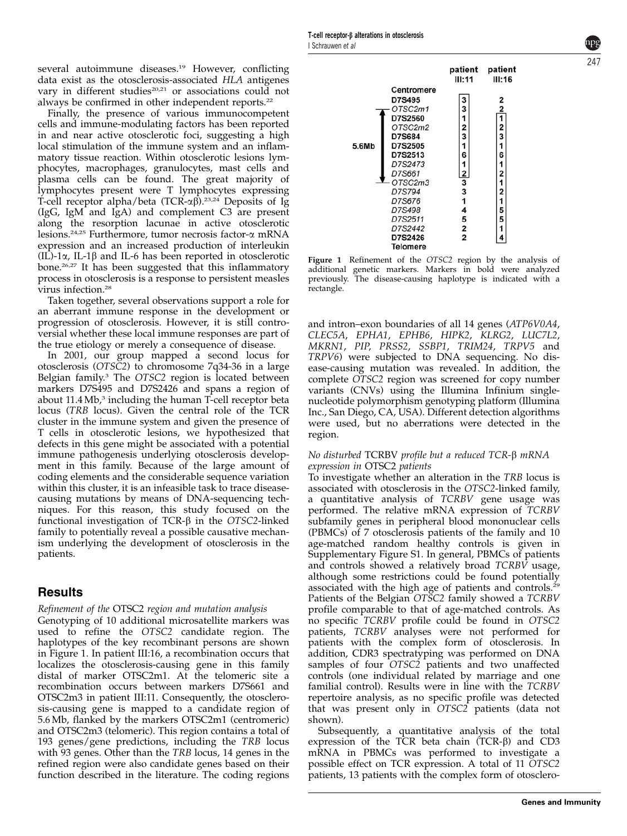several autoimmune diseases.<sup>[19](#page-7-0)</sup> However, conflicting data exist as the otosclerosis-associated HLA antigenes vary in different studies<sup>[20,21](#page-7-0)</sup> or associations could not always be confirmed in other independent reports.<sup>22</sup>

Finally, the presence of various immunocompetent cells and immune-modulating factors has been reported in and near active otosclerotic foci, suggesting a high local stimulation of the immune system and an inflammatory tissue reaction. Within otosclerotic lesions lymphocytes, macrophages, granulocytes, mast cells and plasma cells can be found. The great majority of lymphocytes present were T lymphocytes expressing T-cell receptor alpha/beta (TCR- $\alpha\beta$ ).<sup>23,24</sup> Deposits of Ig (IgG, IgM and IgA) and complement C3 are present along the resorption lacunae in active otosclerotic lesions[.24,25](#page-7-0) Furthermore, tumor necrosis factor-a mRNA expression and an increased production of interleukin  $(IL)$ -1 $\alpha$ , IL-1 $\beta$  and IL-6 has been reported in otosclerotic bone.[26,27](#page-7-0) It has been suggested that this inflammatory process in otosclerosis is a response to persistent measles virus infection.[28](#page-7-0)

Taken together, several observations support a role for an aberrant immune response in the development or progression of otosclerosis. However, it is still controversial whether these local immune responses are part of the true etiology or merely a consequence of disease.

In 2001, our group mapped a second locus for otosclerosis (OTSC2) to chromosome 7q34-36 in a large Belgian family.<sup>[3](#page-6-0)</sup> The OTSC2 region is located between markers D7S495 and D7S2426 and spans a region of about  $11.4 \text{ Mb}$ <sup>[3](#page-6-0)</sup> including the human T-cell receptor beta locus (TRB locus). Given the central role of the TCR cluster in the immune system and given the presence of T cells in otosclerotic lesions, we hypothesized that defects in this gene might be associated with a potential immune pathogenesis underlying otosclerosis development in this family. Because of the large amount of coding elements and the considerable sequence variation within this cluster, it is an infeasible task to trace diseasecausing mutations by means of DNA-sequencing techniques. For this reason, this study focused on the functional investigation of TCR- $\beta$  in the OTSC2-linked family to potentially reveal a possible causative mechanism underlying the development of otosclerosis in the patients.

### Results

### Refinement of the OTSC2 region and mutation analysis

Genotyping of 10 additional microsatellite markers was used to refine the OTSC2 candidate region. The haplotypes of the key recombinant persons are shown in Figure 1. In patient III:16, a recombination occurs that localizes the otosclerosis-causing gene in this family distal of marker OTSC2m1. At the telomeric site a recombination occurs between markers D7S661 and OTSC2m3 in patient III:11. Consequently, the otosclerosis-causing gene is mapped to a candidate region of 5.6 Mb, flanked by the markers OTSC2m1 (centromeric) and OTSC2m3 (telomeric). This region contains a total of 193 genes/gene predictions, including the TRB locus with 93 genes. Other than the TRB locus, 14 genes in the refined region were also candidate genes based on their function described in the literature. The coding regions



Figure 1 Refinement of the OTSC2 region by the analysis of additional genetic markers. Markers in bold were analyzed previously. The disease-causing haplotype is indicated with a rectangle.

and intron–exon boundaries of all 14 genes (ATP6V0A4, CLEC5A, EPHA1, EPHB6, HIPK2, KLRG2, LUC7L2, MKRN1, PIP, PRSS2, SSBP1, TRIM24, TRPV5 and TRPV6) were subjected to DNA sequencing. No disease-causing mutation was revealed. In addition, the complete OTSC2 region was screened for copy number variants (CNVs) using the Illumina Infinium singlenucleotide polymorphism genotyping platform (Illumina Inc., San Diego, CA, USA). Different detection algorithms were used, but no aberrations were detected in the region.

#### No disturbed TCRBV profile but a reduced TCR-β mRNA expression in OTSC2 patients

To investigate whether an alteration in the TRB locus is associated with otosclerosis in the OTSC2-linked family, a quantitative analysis of TCRBV gene usage was performed. The relative mRNA expression of TCRBV subfamily genes in peripheral blood mononuclear cells (PBMCs) of 7 otosclerosis patients of the family and 10 age-matched random healthy controls is given in Supplementary Figure S1. In general, PBMCs of patients and controls showed a relatively broad TCRBV usage, although some restrictions could be found potentially associated with the high age of patients and controls.[29](#page-7-0) Patients of the Belgian OTSC2 family showed a TCRBV profile comparable to that of age-matched controls. As no specific TCRBV profile could be found in OTSC2 patients, TCRBV analyses were not performed for patients with the complex form of otosclerosis. In addition, CDR3 spectratyping was performed on DNA samples of four OTSC2 patients and two unaffected controls (one individual related by marriage and one familial control). Results were in line with the TCRBV repertoire analysis, as no specific profile was detected that was present only in OTSC2 patients (data not shown).

Subsequently, a quantitative analysis of the total expression of the TCR beta chain  $(TCR-\beta)$  and CD3 mRNA in PBMCs was performed to investigate a possible effect on TCR expression. A total of 11 OTSC2 patients, 13 patients with the complex form of otosclero247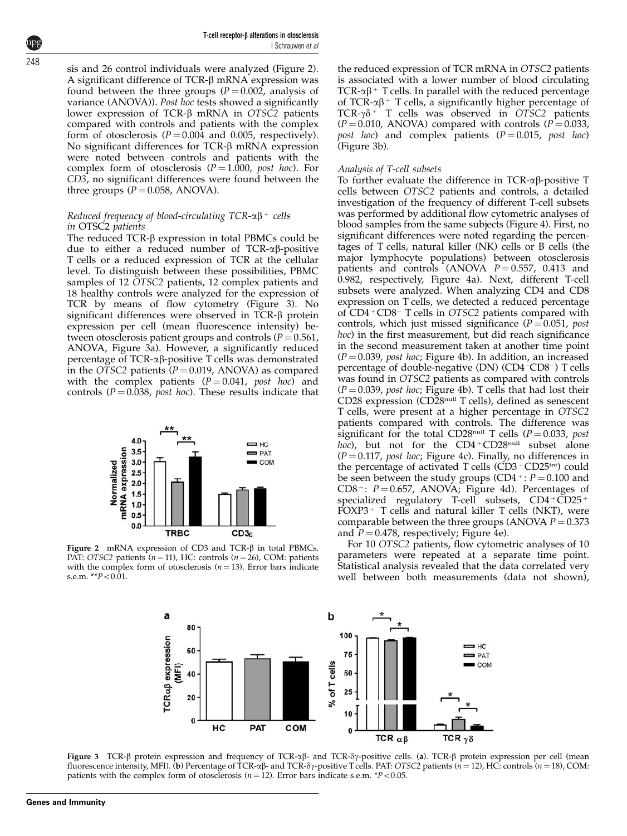T-cell receptor- $\beta$  alterations in otosclerosis I Schrauwen et al

sis and 26 control individuals were analyzed (Figure 2). A significant difference of  $TCR-\beta$  mRNA expression was found between the three groups ( $P = 0.002$ , analysis of variance (ANOVA)). Post hoc tests showed a significantly lower expression of TCR- $\beta$  mRNA in OTSC2 patients compared with controls and patients with the complex form of otosclerosis  $(P = 0.004$  and 0.005, respectively). No significant differences for  $TCR-\beta$  mRNA expression were noted between controls and patients with the complex form of otosclerosis ( $P = 1.000$ , post hoc). For CD3, no significant differences were found between the three groups  $(P = 0.058, ANOVA)$ .

#### Reduced frequency of blood-circulating  $TCR-\alpha\beta^+$  cells in OTSC2 patients

The reduced  $TCR-\beta$  expression in total PBMCs could be due to either a reduced number of  $TCR-\alpha\beta$ -positive T cells or a reduced expression of TCR at the cellular level. To distinguish between these possibilities, PBMC samples of 12 OTSC2 patients, 12 complex patients and 18 healthy controls were analyzed for the expression of TCR by means of flow cytometry (Figure 3). No significant differences were observed in TCR- $\beta$  protein expression per cell (mean fluorescence intensity) between otosclerosis patient groups and controls ( $P = 0.561$ , ANOVA, Figure 3a). However, a significantly reduced percentage of  $TCR-\alpha\beta$ -positive T cells was demonstrated in the OTSC2 patients  $(P = 0.019, ANOVA)$  as compared with the complex patients  $(P = 0.041, post hoc)$  and controls ( $P = 0.038$ , post hoc). These results indicate that



Figure 2 mRNA expression of CD3 and TCR- $\beta$  in total PBMCs. PAT: OTSC2 patients  $(n = 11)$ , HC: controls  $(n = 26)$ , COM: patients with the complex form of otosclerosis  $(n = 13)$ . Error bars indicate s.e.m.  $* p < 0.01$ .

the reduced expression of TCR mRNA in OTSC2 patients is associated with a lower number of blood circulating TCR- $\alpha\beta$ <sup>+</sup> T cells. In parallel with the reduced percentage of TCR- $\alpha\beta$ <sup>+</sup> T cells, a significantly higher percentage of TCR- $\gamma\delta$ <sup>+</sup> T cells was observed in OTSC2 patients  $(P = 0.010, ANOVA)$  compared with controls  $(P = 0.033,$ post hoc) and complex patients  $(P = 0.015, post hoc)$ (Figure 3b).

#### Analysis of T-cell subsets

To further evaluate the difference in  $TCR-\alpha\beta$ -positive T cells between OTSC2 patients and controls, a detailed investigation of the frequency of different T-cell subsets was performed by additional flow cytometric analyses of blood samples from the same subjects ([Figure 4](#page-3-0)). First, no significant differences were noted regarding the percentages of T cells, natural killer (NK) cells or B cells (the major lymphocyte populations) between otosclerosis patients and controls (ANOVA  $P = 0.557$ , 0.413 and 0.982, respectively, [Figure 4a\)](#page-3-0). Next, different T-cell subsets were analyzed. When analyzing CD4 and CD8 expression on T cells, we detected a reduced percentage of CD4+CD8- T cells in OTSC2 patients compared with controls, which just missed significance ( $P = 0.051$ , post hoc) in the first measurement, but did reach significance in the second measurement taken at another time point  $(P = 0.039$ , post hoc; [Figure 4b\)](#page-3-0). In addition, an increased percentage of double-negative (DN) (CD4-CD8-) T cells was found in OTSC2 patients as compared with controls  $(P = 0.039$ , post hoc; [Figure 4b\)](#page-3-0). T cells that had lost their CD28 expression (CD28null T cells), defined as senescent T cells, were present at a higher percentage in OTSC2 patients compared with controls. The difference was significant for the total CD28<sup>null</sup> T cells ( $P = 0.033$ , post hoc), but not for the  $CD4+CD28$ <sup>null</sup> subset alone  $(P = 0.117,$  post hoc; [Figure 4c\)](#page-3-0). Finally, no differences in the percentage of activated T cells  $(CD3 + CD25<sup>int</sup>)$  could be seen between the study groups (CD4  $\pm$ :  $P = 0.100$  and CD8<sup>+</sup>:  $P = 0.657$ , ANOVA; [Figure 4d\)](#page-3-0). Percentages of specialized regulatory T-cell subsets,  $CD4 + \text{CD25} +$  $FOXP3+T$  cells and natural killer T cells (NKT), were comparable between the three groups (ANOVA  $P = 0.373$ ) and  $P = 0.478$ , respectively; [Figure 4e](#page-3-0)).

For 10 OTSC2 patients, flow cytometric analyses of 10 parameters were repeated at a separate time point. Statistical analysis revealed that the data correlated very well between both measurements (data not shown),



Figure 3 TCR- $\beta$  protein expression and frequency of TCR- $\alpha\beta$ - and TCR- $\delta\gamma$ -positive cells. (a). TCR- $\beta$  protein expression per cell (mean fluorescence intensity, MFI). (b) Percentage of TCR- $\alpha\beta$ - and TCR- $\delta\gamma$ -positive T cells. PAT: OTSC2 patients (n = 12), HC: controls (n = 18), COM: patients with the complex form of otosclerosis  $(n = 12)$ . Error bars indicate s.e.m. \* $P < 0.05$ .

248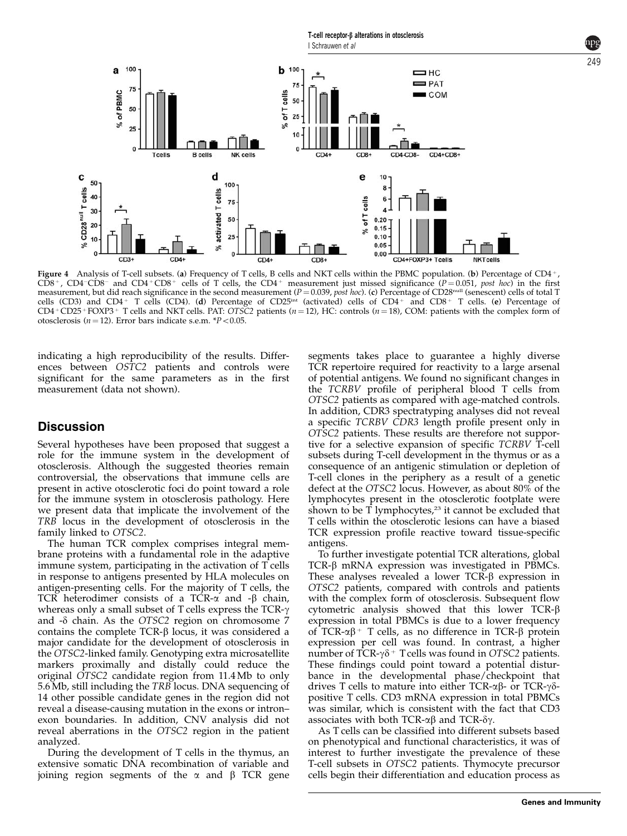<span id="page-3-0"></span>

Figure 4 Analysis of T-cell subsets. (a) Frequency of T cells, B cells and NKT cells within the PBMC population. (b) Percentage of CD4+, CD8<sup>+</sup>, CD4<sup>-</sup>CD8<sup>-</sup> and CD4<sup>+</sup>CD8<sup>+</sup> cells of T cells, the CD4<sup>+</sup> measurement just missed significance ( $P=0.051$ , post hoc) in the first measurement, but did reach significance in the second measurement ( $P = 0.039$ , post hoc). (c) Percentage of CD28<sup>null</sup> (senescent) cells of total T cells (CD3) and CD4<sup>+</sup> T cells (CD4). (d) Percentage of CD25<sup>int</sup> (activated) cells of CD4<sup>+</sup> and CD8<sup>+</sup> T cells. (e) Percentage of  $CD4 + CD25 + FOXP3 + T$  cells and NKT cells. PAT: OTSC2 patients (n = 12), HC: controls (n = 18), COM: patients with the complex form of otosclerosis ( $n = 12$ ). Error bars indicate s.e.m. \* $P < 0.05$ .

indicating a high reproducibility of the results. Differences between OSTC2 patients and controls were significant for the same parameters as in the first measurement (data not shown).

### **Discussion**

Several hypotheses have been proposed that suggest a role for the immune system in the development of otosclerosis. Although the suggested theories remain controversial, the observations that immune cells are present in active otosclerotic foci do point toward a role for the immune system in otosclerosis pathology. Here we present data that implicate the involvement of the TRB locus in the development of otosclerosis in the family linked to OTSC2.

The human TCR complex comprises integral membrane proteins with a fundamental role in the adaptive immune system, participating in the activation of T cells in response to antigens presented by HLA molecules on antigen-presenting cells. For the majority of T cells, the TCR heterodimer consists of a TCR- $\alpha$  and - $\beta$  chain, whereas only a small subset of T cells express the TCR- $\gamma$ and  $-\delta$  chain. As the OTSC2 region on chromosome 7 contains the complete  $TCR-\beta$  locus, it was considered a major candidate for the development of otosclerosis in the OTSC2-linked family. Genotyping extra microsatellite markers proximally and distally could reduce the original OTSC2 candidate region from 11.4 Mb to only 5.6 Mb, still including the TRB locus. DNA sequencing of 14 other possible candidate genes in the region did not reveal a disease-causing mutation in the exons or intron– exon boundaries. In addition, CNV analysis did not reveal aberrations in the OTSC2 region in the patient analyzed.

During the development of T cells in the thymus, an extensive somatic DNA recombination of variable and joining region segments of the  $\alpha$  and  $\beta$  TCR gene segments takes place to guarantee a highly diverse TCR repertoire required for reactivity to a large arsenal of potential antigens. We found no significant changes in the TCRBV profile of peripheral blood T cells from OTSC2 patients as compared with age-matched controls. In addition, CDR3 spectratyping analyses did not reveal a specific TCRBV CDR3 length profile present only in OTSC2 patients. These results are therefore not supportive for a selective expansion of specific TCRBV T-cell subsets during T-cell development in the thymus or as a consequence of an antigenic stimulation or depletion of T-cell clones in the periphery as a result of a genetic defect at the OTSC2 locus. However, as about 80% of the lymphocytes present in the otosclerotic footplate were shown to be  $\overline{T}$  lymphocytes,<sup>[23](#page-7-0)</sup> it cannot be excluded that T cells within the otosclerotic lesions can have a biased TCR expression profile reactive toward tissue-specific antigens.

To further investigate potential TCR alterations, global TCR-b mRNA expression was investigated in PBMCs. These analyses revealed a lower  $TCR-\beta$  expression in OTSC2 patients, compared with controls and patients with the complex form of otosclerosis. Subsequent flow cytometric analysis showed that this lower TCR-b expression in total PBMCs is due to a lower frequency of TCR- $\alpha\beta$ <sup>+</sup> T cells, as no difference in TCR- $\beta$  protein expression per cell was found. In contrast, a higher number of TCR- $\gamma\delta$ <sup>+</sup> T cells was found in OTSC2 patients. These findings could point toward a potential disturbance in the developmental phase/checkpoint that drives T cells to mature into either TCR- $\alpha\beta$ - or TCR- $\gamma\delta$ positive T cells. CD3 mRNA expression in total PBMCs was similar, which is consistent with the fact that CD3 associates with both TCR- $\alpha\beta$  and TCR- $\delta\gamma$ .

As T cells can be classified into different subsets based on phenotypical and functional characteristics, it was of interest to further investigate the prevalence of these T-cell subsets in OTSC2 patients. Thymocyte precursor cells begin their differentiation and education process as

249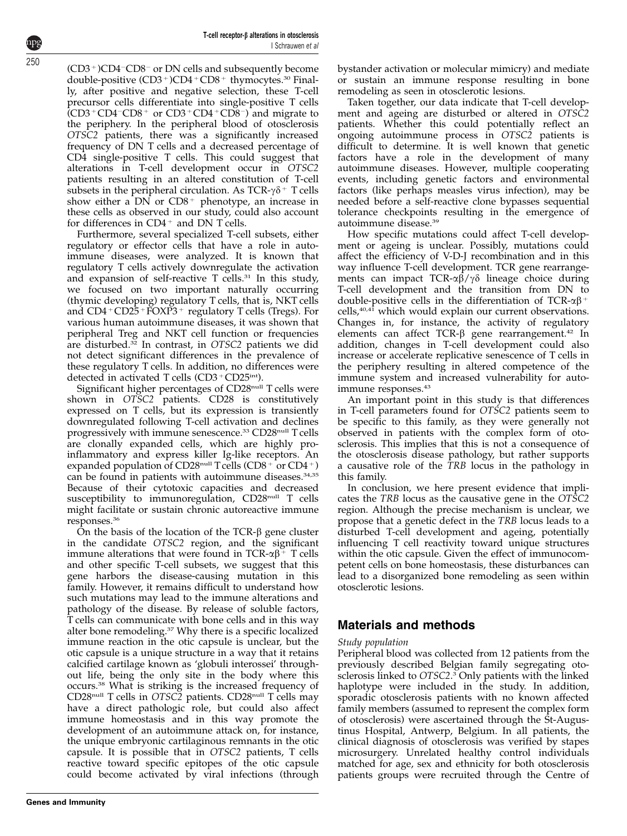(CD3+)CD4-CD8- or DN cells and subsequently become double-positive  $(CD3^+)CD4^+CD8^+$  thymocytes.<sup>[30](#page-7-0)</sup> Finally, after positive and negative selection, these T-cell precursor cells differentiate into single-positive T cells  $(CD3 + CD4 - CD8 + or CD3 + CD4 + CD8 -)$  and migrate to the periphery. In the peripheral blood of otosclerosis OTSC2 patients, there was a significantly increased frequency of DN T cells and a decreased percentage of CD4 single-positive T cells. This could suggest that alterations in T-cell development occur in OTSC2 patients resulting in an altered constitution of T-cell subsets in the peripheral circulation. As  $TCR-\gamma\delta^+$  T cells show either a  $DN$  or  $CD8$ <sup>+</sup> phenotype, an increase in these cells as observed in our study, could also account for differences in  $CD4^+$  and DN T cells.

Furthermore, several specialized T-cell subsets, either regulatory or effector cells that have a role in autoimmune diseases, were analyzed. It is known that regulatory T cells actively downregulate the activation and expansion of self-reactive T cells.<sup>[31](#page-7-0)</sup> In this study, we focused on two important naturally occurring (thymic developing) regulatory T cells, that is, NKT cells and  $CD4+CD25+FOXP3+$  regulatory T cells (Tregs). For various human autoimmune diseases, it was shown that peripheral Treg and NKT cell function or frequencies are disturbed.<sup>32</sup> In contrast, in OTSC2 patients we did not detect significant differences in the prevalence of these regulatory T cells. In addition, no differences were detected in activated T cells  $(CD3 + CD25<sup>int</sup>)$ .

Significant higher percentages of CD28<sup>null</sup> T cells were shown in OTSC2 patients. CD28 is constitutively expressed on T cells, but its expression is transiently downregulated following T-cell activation and declines progressively with immune senescence.<sup>[33](#page-7-0)</sup> CD28<sup>null</sup> T cells are clonally expanded cells, which are highly proinflammatory and express killer Ig-like receptors. An expanded population of CD28<sup>null</sup> T cells (CD8<sup>+</sup> or CD4<sup>+</sup>) can be found in patients with autoimmune diseases.<sup>34,35</sup> Because of their cytotoxic capacities and decreased susceptibility to immunoregulation, CD28<sup>null</sup> T cells might facilitate or sustain chronic autoreactive immune responses[.36](#page-7-0)

On the basis of the location of the  $TCR-\beta$  gene cluster in the candidate OTSC2 region, and the significant immune alterations that were found in  $TCR-\alpha\beta$ <sup>+</sup> T cells and other specific T-cell subsets, we suggest that this gene harbors the disease-causing mutation in this family. However, it remains difficult to understand how such mutations may lead to the immune alterations and pathology of the disease. By release of soluble factors, T cells can communicate with bone cells and in this way alter bone remodeling.[37](#page-7-0) Why there is a specific localized immune reaction in the otic capsule is unclear, but the otic capsule is a unique structure in a way that it retains calcified cartilage known as 'globuli interossei' throughout life, being the only site in the body where this occurs[.38](#page-7-0) What is striking is the increased frequency of CD28null T cells in OTSC2 patients. CD28null T cells may have a direct pathologic role, but could also affect immune homeostasis and in this way promote the development of an autoimmune attack on, for instance, the unique embryonic cartilaginous remnants in the otic capsule. It is possible that in OTSC2 patients, T cells reactive toward specific epitopes of the otic capsule could become activated by viral infections (through

bystander activation or molecular mimicry) and mediate or sustain an immune response resulting in bone remodeling as seen in otosclerotic lesions.

Taken together, our data indicate that T-cell development and ageing are disturbed or altered in OTSC2 patients. Whether this could potentially reflect an ongoing autoimmune process in OTSC2 patients is difficult to determine. It is well known that genetic factors have a role in the development of many autoimmune diseases. However, multiple cooperating events, including genetic factors and environmental factors (like perhaps measles virus infection), may be needed before a self-reactive clone bypasses sequential tolerance checkpoints resulting in the emergence of autoimmune disease.[39](#page-7-0)

How specific mutations could affect T-cell development or ageing is unclear. Possibly, mutations could affect the efficiency of V-D-J recombination and in this way influence T-cell development. TCR gene rearrangements can impact TCR- $\alpha\beta/\gamma\delta$  lineage choice during T-cell development and the transition from DN to double-positive cells in the differentiation of TCR- $\alpha\beta$ <sup>+</sup> cells,<sup>40,41</sup> which would explain our current observations. Changes in, for instance, the activity of regulatory elements can affect TCR-β gene rearrangement.<sup>42</sup> In addition, changes in T-cell development could also increase or accelerate replicative senescence of T cells in the periphery resulting in altered competence of the immune system and increased vulnerability for autoimmune responses.[43](#page-7-0)

An important point in this study is that differences in T-cell parameters found for OTSC2 patients seem to be specific to this family, as they were generally not observed in patients with the complex form of otosclerosis. This implies that this is not a consequence of the otosclerosis disease pathology, but rather supports a causative role of the TRB locus in the pathology in this family.

In conclusion, we here present evidence that implicates the TRB locus as the causative gene in the OTSC2 region. Although the precise mechanism is unclear, we propose that a genetic defect in the TRB locus leads to a disturbed T-cell development and ageing, potentially influencing T cell reactivity toward unique structures within the otic capsule. Given the effect of immunocompetent cells on bone homeostasis, these disturbances can lead to a disorganized bone remodeling as seen within otosclerotic lesions.

## Materials and methods

### Study population

Peripheral blood was collected from 12 patients from the previously described Belgian family segregating oto-sclerosis linked to OTSC2.<sup>[3](#page-6-0)</sup> Only patients with the linked haplotype were included in the study. In addition, sporadic otosclerosis patients with no known affected family members (assumed to represent the complex form of otosclerosis) were ascertained through the St-Augustinus Hospital, Antwerp, Belgium. In all patients, the clinical diagnosis of otosclerosis was verified by stapes microsurgery. Unrelated healthy control individuals matched for age, sex and ethnicity for both otosclerosis patients groups were recruited through the Centre of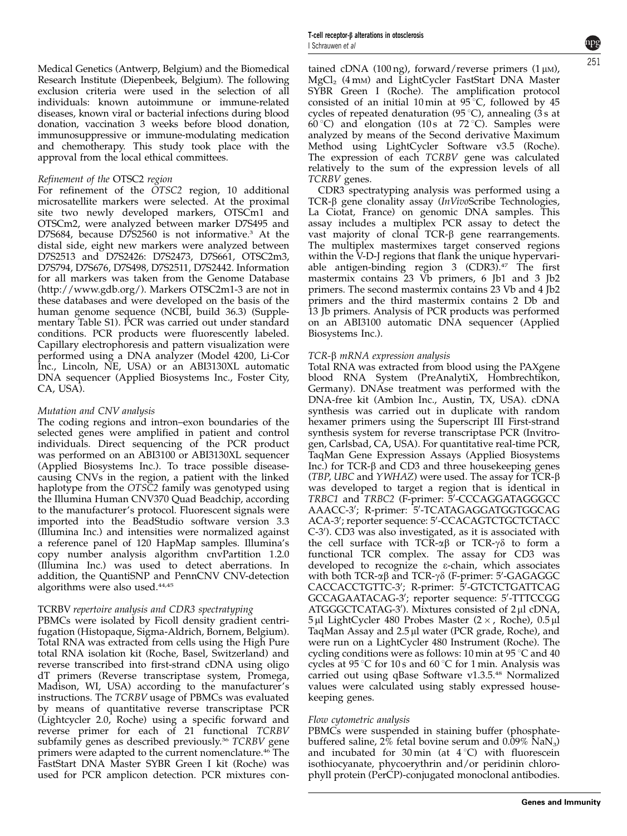Medical Genetics (Antwerp, Belgium) and the Biomedical Research Institute (Diepenbeek, Belgium). The following exclusion criteria were used in the selection of all individuals: known autoimmune or immune-related diseases, known viral or bacterial infections during blood donation, vaccination 3 weeks before blood donation, immunosuppressive or immune-modulating medication

and chemotherapy. This study took place with the

### Refinement of the OTSC2 region

approval from the local ethical committees.

For refinement of the OTSC2 region, 10 additional microsatellite markers were selected. At the proximal site two newly developed markers, OTSCm1 and OTSCm2, were analyzed between marker D7S495 and D7S684, because D7S2560 is not informative.<sup>[3](#page-6-0)</sup> At the distal side, eight new markers were analyzed between D7S2513 and D7S2426: D7S2473, D7S661, OTSC2m3, D7S794, D7S676, D7S498, D7S2511, D7S2442. Information for all markers was taken from the Genome Database [\(http://www.gdb.org/\)](http://www.gdb.org/). Markers OTSC2m1-3 are not in these databases and were developed on the basis of the human genome sequence (NCBI, build 36.3) (Supplementary Table S1). PCR was carried out under standard conditions. PCR products were fluorescently labeled. Capillary electrophoresis and pattern visualization were performed using a DNA analyzer (Model 4200, Li-Cor Inc., Lincoln, NE, USA) or an ABI3130XL automatic DNA sequencer (Applied Biosystems Inc., Foster City, CA, USA).

#### Mutation and CNV analysis

The coding regions and intron–exon boundaries of the selected genes were amplified in patient and control individuals. Direct sequencing of the PCR product was performed on an ABI3100 or ABI3130XL sequencer (Applied Biosystems Inc.). To trace possible diseasecausing CNVs in the region, a patient with the linked haplotype from the OTSC2 family was genotyped using the Illumina Human CNV370 Quad Beadchip, according to the manufacturer's protocol. Fluorescent signals were imported into the BeadStudio software version 3.3 (Illumina Inc.) and intensities were normalized against a reference panel of 120 HapMap samples. Illumina's copy number analysis algorithm cnvPartition 1.2.0 (Illumina Inc.) was used to detect aberrations. In addition, the QuantiSNP and PennCNV CNV-detection algorithms were also used[.44,45](#page-7-0)

#### TCRBV repertoire analysis and CDR3 spectratyping

PBMCs were isolated by Ficoll density gradient centrifugation (Histopaque, Sigma-Aldrich, Bornem, Belgium). Total RNA was extracted from cells using the High Pure total RNA isolation kit (Roche, Basel, Switzerland) and reverse transcribed into first-strand cDNA using oligo dT primers (Reverse transcriptase system, Promega, Madison, WI, USA) according to the manufacturer's instructions. The TCRBV usage of PBMCs was evaluated by means of quantitative reverse transcriptase PCR (Lightcycler 2.0, Roche) using a specific forward and reverse primer for each of 21 functional TCRBV subfamily genes as described previously.<sup>[36](#page-7-0)</sup> TCRBV gene primers were adapted to the current nomenclature.<sup>[46](#page-7-0)</sup> The FastStart DNA Master SYBR Green I kit (Roche) was used for PCR amplicon detection. PCR mixtures contained cDNA (100 ng), forward/reverse primers (1  $\mu$ M),  $MgCl<sub>2</sub>$  (4 mm) and LightCycler FastStart DNA Master SYBR Green I (Roche). The amplification protocol consisted of an initial 10 min at 95 °C, followed by 45 cycles of repeated denaturation  $(95 \degree C)$ , annealing (3 s at 60 °C) and elongation (10 s at 72 °C). Samples were analyzed by means of the Second derivative Maximum Method using LightCycler Software v3.5 (Roche). The expression of each TCRBV gene was calculated relatively to the sum of the expression levels of all TCRBV genes.

CDR3 spectratyping analysis was performed using a TCR- $\beta$  gene clonality assay (InVivoScribe Technologies, La Ciotat, France) on genomic DNA samples. This assay includes a multiplex PCR assay to detect the vast majority of clonal TCR- $\beta$  gene rearrangements. The multiplex mastermixes target conserved regions within the V-D-J regions that flank the unique hypervariable antigen-binding region  $3$  (CDR3).<sup>[47](#page-7-0)</sup> The first mastermix contains 23 Vb primers, 6 Jb1 and 3 Jb2 primers. The second mastermix contains 23 Vb and 4 Jb2 primers and the third mastermix contains 2 Db and 13 Jb primers. Analysis of PCR products was performed on an ABI3100 automatic DNA sequencer (Applied Biosystems Inc.).

#### TCR-β mRNA expression analysis

Total RNA was extracted from blood using the PAXgene blood RNA System (PreAnalytiX, Hombrechtikon, Germany). DNAse treatment was performed with the DNA-free kit (Ambion Inc., Austin, TX, USA). cDNA synthesis was carried out in duplicate with random hexamer primers using the Superscript III First-strand synthesis system for reverse transcriptase PCR (Invitrogen, Carlsbad, CA, USA). For quantitative real-time PCR, TaqMan Gene Expression Assays (Applied Biosystems Inc.) for  $TCR-\beta$  and  $CD3$  and three housekeeping genes (TBP, UBC and YWHAZ) were used. The assay for  $\text{TCR-}\beta$ was developed to target a region that is identical in TRBC1 and TRBC2 (F-primer: 5'-CCCAGGATAGGGCC AAACC-3'; R-primer: 5'-TCATAGAGGATGGTGGCAG ACA-3'; reporter sequence: 5'-CCACAGTCTGCTCTACC C-3'). CD3 was also investigated, as it is associated with the cell surface with TCR- $\alpha\beta$  or TCR- $\gamma\delta$  to form a functional TCR complex. The assay for CD3 was developed to recognize the e-chain, which associates with both TCR-αβ and TCR-γδ (F-primer: 5'-GAGAGGC CACCACCTGTTC-3'; R-primer: 5'-GTCTCTGATTCAG GCCAGAATACAG-3'; reporter sequence: 5'-TTTCCGG ATGGGCTCATAG-3'). Mixtures consisted of 2 µl cDNA,  $5 \mu$ l LightCycler 480 Probes Master (2  $\times$ , Roche), 0.5  $\mu$ l TaqMan Assay and 2.5 µl water (PCR grade, Roche), and were run on a LightCycler 480 Instrument (Roche). The cycling conditions were as follows: 10 min at 95  $\degree$ C and 40 cycles at 95 °C for 10 s and 60 °C for 1 min. Analysis was carried out using qBase Software v1.3.5[.48](#page-7-0) Normalized values were calculated using stably expressed housekeeping genes.

#### Flow cytometric analysis

PBMCs were suspended in staining buffer (phosphatebuffered saline,  $2\%$  fetal bovine serum and  $0.09\%$  NaN<sub>3</sub>) and incubated for 30 min (at  $4^{\circ}$ C) with fluorescein isothiocyanate, phycoerythrin and/or peridinin chlorophyll protein (PerCP)-conjugated monoclonal antibodies.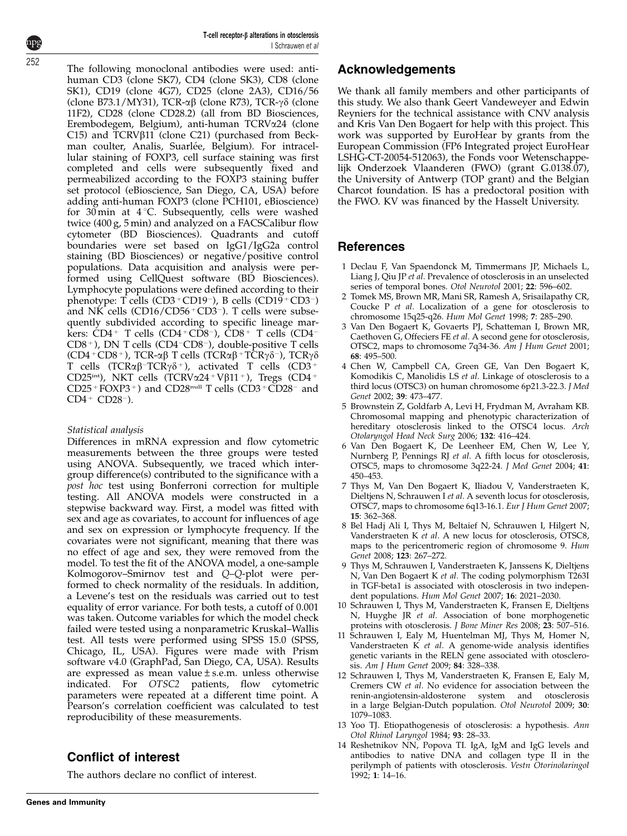<span id="page-6-0"></span>252

The following monoclonal antibodies were used: antihuman CD3 (clone SK7), CD4 (clone SK3), CD8 (clone SK1), CD19 (clone 4G7), CD25 (clone 2A3), CD16/56 (clone B73.1/MY31), TCR- $\alpha\beta$  (clone R73), TCR- $\gamma\delta$  (clone 11F2), CD28 (clone CD28.2) (all from BD Biosciences, Erembodegem, Belgium), anti-human TCRVa24 (clone C15) and  $\text{TCRV}\beta$ 11 (clone C21) (purchased from Beckman coulter, Analis, Suarlée, Belgium). For intracellular staining of FOXP3, cell surface staining was first completed and cells were subsequently fixed and permeabilized according to the FOXP3 staining buffer set protocol (eBioscience, San Diego, CA, USA) before adding anti-human FOXP3 (clone PCH101, eBioscience) for 30 min at  $4^{\circ}$ C. Subsequently, cells were washed twice (400 g, 5 min) and analyzed on a FACSCalibur flow cytometer (BD Biosciences). Quadrants and cutoff boundaries were set based on IgG1/IgG2a control staining (BD Biosciences) or negative/positive control populations. Data acquisition and analysis were performed using CellQuest software (BD Biosciences). Lymphocyte populations were defined according to their phenotype: T cells (CD3+CD19-), B cells (CD19+CD3-) and NK cells  $(CD16/CD56 + CD3)$ . T cells were subsequently subdivided according to specific lineage markers: CD4+ T cells (CD4+CD8-), CD8+ T cells (CD4-CD8<sup>+</sup>), DN T cells (CD4<sup>-</sup>CD8<sup>-</sup>), double-positive T cells (CD4 + CD8 + ), TCR- $\alpha\beta$  T cells (TCR $\alpha\beta$  + TCR $\gamma\delta$  -), TCR $\gamma\delta$ T cells (TCR $\alpha\beta$ <sup>-</sup>TCR $\gamma\delta$ <sup>+</sup>), activated T cells (CD3<sup>+</sup> CD25int), NKT cells (TCRV $\alpha$ 24 + V $\beta$ 11 +), Tregs (CD4 +  $CD25+FOXP3+)$  and  $CD28<sup>null</sup>$  T cells  $(CD3+CD28-$  and  $CD4 + CD28$ <sup>-</sup>).

#### Statistical analysis

Differences in mRNA expression and flow cytometric measurements between the three groups were tested using ANOVA. Subsequently, we traced which intergroup difference(s) contributed to the significance with a post hoc test using Bonferroni correction for multiple testing. All ANOVA models were constructed in a stepwise backward way. First, a model was fitted with sex and age as covariates, to account for influences of age and sex on expression or lymphocyte frequency. If the covariates were not significant, meaning that there was no effect of age and sex, they were removed from the model. To test the fit of the ANOVA model, a one-sample Kolmogorov–Smirnov test and Q–Q-plot were performed to check normality of the residuals. In addition, a Levene's test on the residuals was carried out to test equality of error variance. For both tests, a cutoff of 0.001 was taken. Outcome variables for which the model check failed were tested using a nonparametric Kruskal–Wallis test. All tests were performed using SPSS 15.0 (SPSS, Chicago, IL, USA). Figures were made with Prism software v4.0 (GraphPad, San Diego, CA, USA). Results are expressed as mean value $\pm$ s.e.m. unless otherwise indicated. For OTSC2 patients, flow cytometric parameters were repeated at a different time point. A Pearson's correlation coefficient was calculated to test reproducibility of these measurements.

### Conflict of interest

The authors declare no conflict of interest.

We thank all family members and other participants of this study. We also thank Geert Vandeweyer and Edwin Reyniers for the technical assistance with CNV analysis and Kris Van Den Bogaert for help with this project. This work was supported by EuroHear by grants from the European Commission (FP6 Integrated project EuroHear LSHG-CT-20054-512063), the Fonds voor Wetenschappelijk Onderzoek Vlaanderen (FWO) (grant G.0138.07), the University of Antwerp (TOP grant) and the Belgian Charcot foundation. IS has a predoctoral position with the FWO. KV was financed by the Hasselt University.

### References

- 1 Declau F, Van Spaendonck M, Timmermans JP, Michaels L, Liang J, Qiu JP et al. Prevalence of otosclerosis in an unselected series of temporal bones. Otol Neurotol 2001; 22: 596–602.
- 2 Tomek MS, Brown MR, Mani SR, Ramesh A, Srisailapathy CR, Coucke P et al. Localization of a gene for otosclerosis to chromosome 15q25-q26. Hum Mol Genet 1998; 7: 285–290.
- 3 Van Den Bogaert K, Govaerts PJ, Schatteman I, Brown MR, Caethoven G, Offeciers FE et al. A second gene for otosclerosis, OTSC2, maps to chromosome 7q34-36. Am J Hum Genet 2001; 68: 495–500.
- 4 Chen W, Campbell CA, Green GE, Van Den Bogaert K, Komodikis C, Manolidis LS et al. Linkage of otosclerosis to a third locus (OTSC3) on human chromosome 6p21.3-22.3. J Med Genet 2002; 39: 473–477.
- 5 Brownstein Z, Goldfarb A, Levi H, Frydman M, Avraham KB. Chromosomal mapping and phenotypic characterization of hereditary otosclerosis linked to the OTSC4 locus. Arch Otolaryngol Head Neck Surg 2006; 132: 416–424.
- 6 Van Den Bogaert K, De Leenheer EM, Chen W, Lee Y, Nurnberg P, Pennings RJ et al. A fifth locus for otosclerosis, OTSC5, maps to chromosome 3q22-24. J Med Genet 2004; 41: 450–453.
- 7 Thys M, Van Den Bogaert K, Iliadou V, Vanderstraeten K, Dieltjens N, Schrauwen I et al. A seventh locus for otosclerosis, OTSC7, maps to chromosome 6q13-16.1. Eur J Hum Genet 2007; 15: 362–368.
- 8 Bel Hadj Ali I, Thys M, Beltaief N, Schrauwen I, Hilgert N, Vanderstraeten K et al. A new locus for otosclerosis, OTSC8, maps to the pericentromeric region of chromosome 9. Hum Genet 2008; 123: 267–272.
- 9 Thys M, Schrauwen I, Vanderstraeten K, Janssens K, Dieltjens N, Van Den Bogaert K et al. The coding polymorphism T263I in TGF-beta1 is associated with otosclerosis in two independent populations. Hum Mol Genet 2007; 16: 2021–2030.
- 10 Schrauwen I, Thys M, Vanderstraeten K, Fransen E, Dieltjens N, Huyghe JR et al. Association of bone morphogenetic proteins with otosclerosis. J Bone Miner Res 2008; 23: 507–516.
- 11 Schrauwen I, Ealy M, Huentelman MJ, Thys M, Homer N, Vanderstraeten K et al. A genome-wide analysis identifies genetic variants in the RELN gene associated with otosclerosis. Am J Hum Genet 2009; 84: 328–338.
- 12 Schrauwen I, Thys M, Vanderstraeten K, Fransen E, Ealy M, Cremers CW et al. No evidence for association between the renin-angiotensin-aldosterone system and otosclerosis in a large Belgian-Dutch population. Otol Neurotol 2009; 30: 1079–1083.
- 13 Yoo TJ. Etiopathogenesis of otosclerosis: a hypothesis. Ann Otol Rhinol Laryngol 1984; 93: 28–33.
- 14 Reshetnikov NN, Popova TI. IgA, IgM and IgG levels and antibodies to native DNA and collagen type II in the perilymph of patients with otosclerosis. Vestn Otorinolaringol 1992; 1: 14–16.